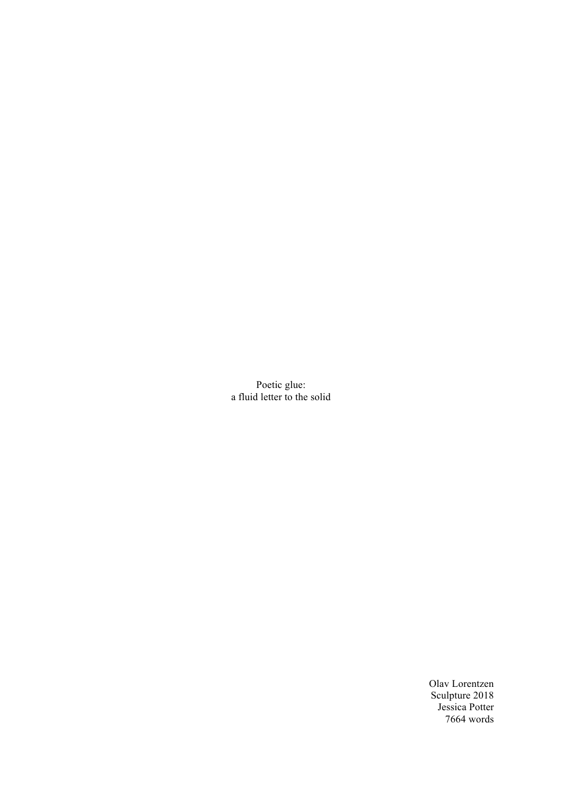Poetic glue: a fluid letter to the solid

> Olav Lorentzen Sculpture 2018 Jessica Potter 7664 words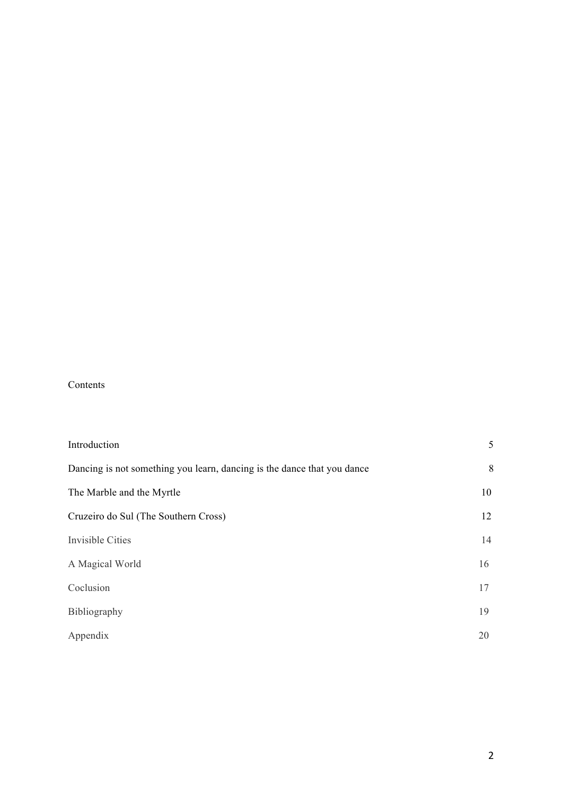# Contents

| Dancing is not something you learn, dancing is the dance that you dance<br>The Marble and the Myrtle<br>Cruzeiro do Sul (The Southern Cross)<br>Invisible Cities<br>16<br>A Magical World<br>Coclusion<br>17<br>19<br>Bibliography<br>Appendix<br>20 | Introduction | 5  |
|------------------------------------------------------------------------------------------------------------------------------------------------------------------------------------------------------------------------------------------------------|--------------|----|
|                                                                                                                                                                                                                                                      |              | 8  |
|                                                                                                                                                                                                                                                      |              | 10 |
|                                                                                                                                                                                                                                                      |              | 12 |
|                                                                                                                                                                                                                                                      |              | 14 |
|                                                                                                                                                                                                                                                      |              |    |
|                                                                                                                                                                                                                                                      |              |    |
|                                                                                                                                                                                                                                                      |              |    |
|                                                                                                                                                                                                                                                      |              |    |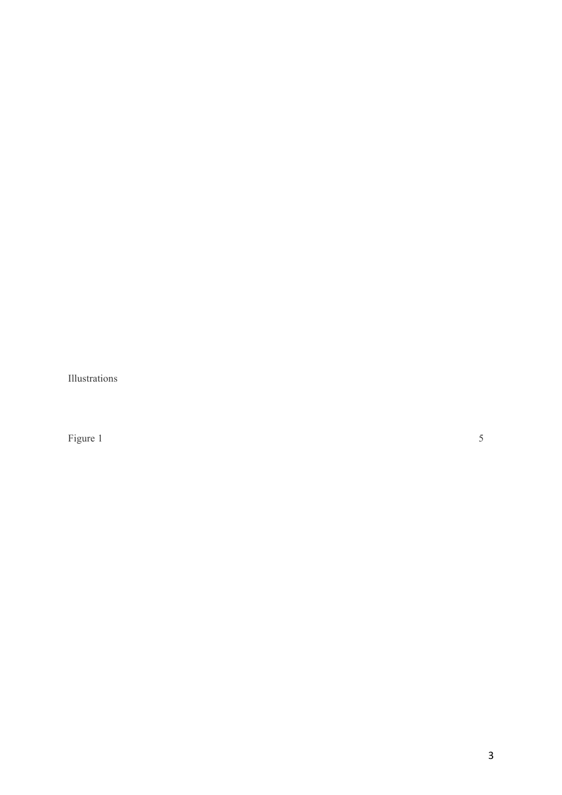Illustrations

Figure 1 5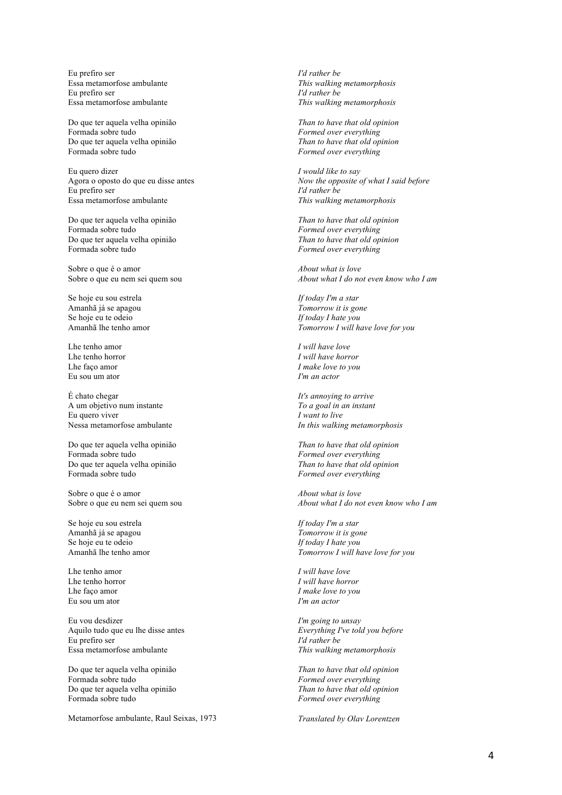Eu prefiro ser Essa metamorfose ambulante Eu prefiro ser Essa metamorfose ambulante

Do que ter aquela velha opinião Formada sobre tudo Do que ter aquela velha opinião Formada sobre tudo

Eu quero dizer Agora o oposto do que eu disse antes Eu prefiro ser Essa metamorfose ambulante

Do que ter aquela velha opinião Formada sobre tudo Do que ter aquela velha opinião Formada sobre tudo

Sobre o que é o amor Sobre o que eu nem sei quem sou

Se hoje eu sou estrela Amanhã já se apagou Se hoje eu te odeio Amanhã lhe tenho amor

Lhe tenho amor Lhe tenho horror Lhe faço amor Eu sou um ator

É chato chegar A um objetivo num instante Eu quero viver Nessa metamorfose ambulante

Do que ter aquela velha opinião Formada sobre tudo Do que ter aquela velha opinião Formada sobre tudo

Sobre o que é o amor Sobre o que eu nem sei quem sou

Se hoje eu sou estrela Amanhã já se apagou Se hoje eu te odeio Amanhã lhe tenho amor

Lhe tenho amor Lhe tenho horror Lhe faço amor Eu sou um ator

Eu vou desdizer Aquilo tudo que eu lhe disse antes Eu prefiro ser Essa metamorfose ambulante

Do que ter aquela velha opinião Formada sobre tudo Do que ter aquela velha opinião Formada sobre tudo

Metamorfose ambulante, Raul Seixas, 1973

*I'd rather be This walking metamorphosis I'd rather be This walking metamorphosis*

*Than to have that old opinion Formed over everything Than to have that old opinion Formed over everything*

*I would like to say Now the opposite of what I said before I'd rather be This walking metamorphosis*

*Than to have that old opinion Formed over everything Than to have that old opinion Formed over everything*

*About what is love About what I do not even know who I am*

*If today I'm a star Tomorrow it is gone If today I hate you Tomorrow I will have love for you*

*I will have love I will have horror I make love to you I'm an actor*

*It's annoying to arrive To a goal in an instant I want to live In this walking metamorphosis*

*Than to have that old opinion Formed over everything Than to have that old opinion Formed over everything*

*About what is love About what I do not even know who I am*

*If today I'm a star Tomorrow it is gone If today I hate you Tomorrow I will have love for you*

*I will have love I will have horror I make love to you I'm an actor*

*I'm going to unsay Everything I've told you before I'd rather be This walking metamorphosis*

*Than to have that old opinion Formed over everything Than to have that old opinion Formed over everything*

*Translated by Olav Lorentzen*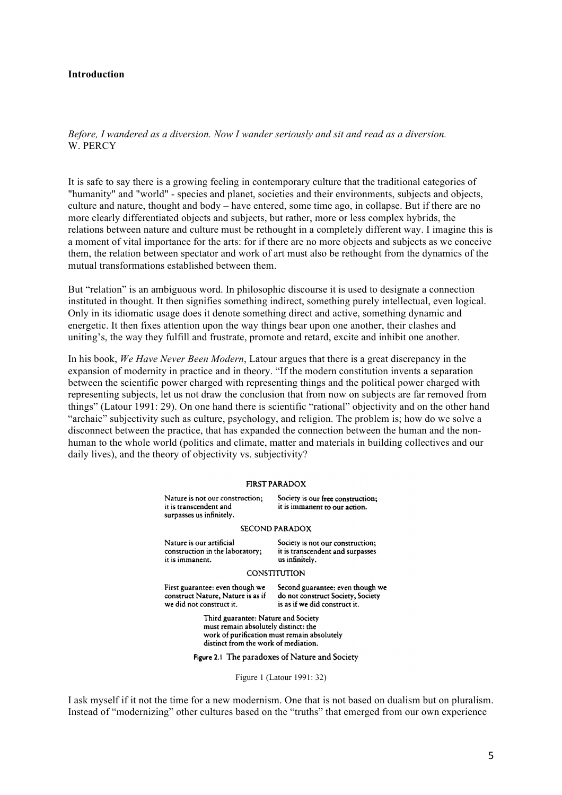#### **Introduction**

*Before, I wandered as a diversion. Now I wander seriously and sit and read as a diversion.* W. PERCY

It is safe to say there is a growing feeling in contemporary culture that the traditional categories of "humanity" and "world" - species and planet, societies and their environments, subjects and objects, culture and nature, thought and body – have entered, some time ago, in collapse. But if there are no more clearly differentiated objects and subjects, but rather, more or less complex hybrids, the relations between nature and culture must be rethought in a completely different way. I imagine this is a moment of vital importance for the arts: for if there are no more objects and subjects as we conceive them, the relation between spectator and work of art must also be rethought from the dynamics of the mutual transformations established between them.

But "relation" is an ambiguous word. In philosophic discourse it is used to designate a connection instituted in thought. It then signifies something indirect, something purely intellectual, even logical. Only in its idiomatic usage does it denote something direct and active, something dynamic and energetic. It then fixes attention upon the way things bear upon one another, their clashes and uniting's, the way they fulfill and frustrate, promote and retard, excite and inhibit one another.

In his book, *We Have Never Been Modern*, Latour argues that there is a great discrepancy in the expansion of modernity in practice and in theory. "If the modern constitution invents a separation between the scientific power charged with representing things and the political power charged with representing subjects, let us not draw the conclusion that from now on subjects are far removed from things" (Latour 1991: 29). On one hand there is scientific "rational" objectivity and on the other hand "archaic" subjectivity such as culture, psychology, and religion. The problem is; how do we solve a disconnect between the practice, that has expanded the connection between the human and the nonhuman to the whole world (politics and climate, matter and materials in building collectives and our daily lives), and the theory of objectivity vs. subjectivity?

#### **FIRST PARADOX**

Nature is not our construction; it is transcendent and surpasses us infinitely.

#### **SECOND PARADOX**

Nature is our artificial construction in the laboratory; it is immanent.

Society is not our construction; it is transcendent and surpasses us infinitely.

#### **CONSTITUTION**

First guarantee: even though we construct Nature, Nature is as if we did not construct it.

Second guarantee: even though we do not construct Society, Society is as if we did construct it.

Society is our free construction;

it is immanent to our action.

Third guarantee: Nature and Society must remain absolutely distinct: the work of purification must remain absolutely distinct from the work of mediation.

Figure 2.1 The paradoxes of Nature and Society

Figure 1 (Latour 1991: 32)

I ask myself if it not the time for a new modernism. One that is not based on dualism but on pluralism. Instead of "modernizing" other cultures based on the "truths" that emerged from our own experience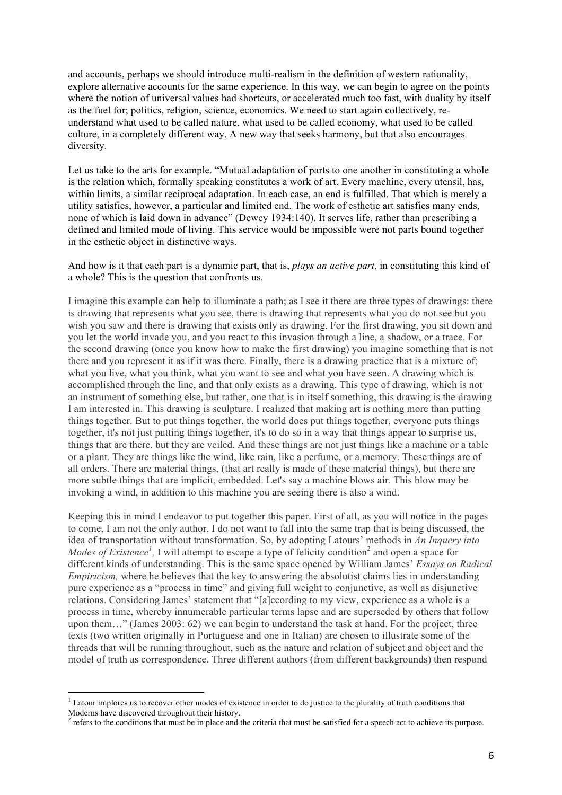and accounts, perhaps we should introduce multi-realism in the definition of western rationality, explore alternative accounts for the same experience. In this way, we can begin to agree on the points where the notion of universal values had shortcuts, or accelerated much too fast, with duality by itself as the fuel for; politics, religion, science, economics. We need to start again collectively, reunderstand what used to be called nature, what used to be called economy, what used to be called culture, in a completely different way. A new way that seeks harmony, but that also encourages diversity.

Let us take to the arts for example. "Mutual adaptation of parts to one another in constituting a whole is the relation which, formally speaking constitutes a work of art. Every machine, every utensil, has, within limits, a similar reciprocal adaptation. In each case, an end is fulfilled. That which is merely a utility satisfies, however, a particular and limited end. The work of esthetic art satisfies many ends, none of which is laid down in advance" (Dewey 1934:140). It serves life, rather than prescribing a defined and limited mode of living. This service would be impossible were not parts bound together in the esthetic object in distinctive ways.

## And how is it that each part is a dynamic part, that is, *plays an active part*, in constituting this kind of a whole? This is the question that confronts us.

I imagine this example can help to illuminate a path; as I see it there are three types of drawings: there is drawing that represents what you see, there is drawing that represents what you do not see but you wish you saw and there is drawing that exists only as drawing. For the first drawing, you sit down and you let the world invade you, and you react to this invasion through a line, a shadow, or a trace. For the second drawing (once you know how to make the first drawing) you imagine something that is not there and you represent it as if it was there. Finally, there is a drawing practice that is a mixture of; what you live, what you think, what you want to see and what you have seen. A drawing which is accomplished through the line, and that only exists as a drawing. This type of drawing, which is not an instrument of something else, but rather, one that is in itself something, this drawing is the drawing I am interested in. This drawing is sculpture. I realized that making art is nothing more than putting things together. But to put things together, the world does put things together, everyone puts things together, it's not just putting things together, it's to do so in a way that things appear to surprise us, things that are there, but they are veiled. And these things are not just things like a machine or a table or a plant. They are things like the wind, like rain, like a perfume, or a memory. These things are of all orders. There are material things, (that art really is made of these material things), but there are more subtle things that are implicit, embedded. Let's say a machine blows air. This blow may be invoking a wind, in addition to this machine you are seeing there is also a wind.

Keeping this in mind I endeavor to put together this paper. First of all, as you will notice in the pages to come, I am not the only author. I do not want to fall into the same trap that is being discussed, the idea of transportation without transformation. So, by adopting Latours' methods in *An Inquery into Modes of Existence<sup>1</sup>*, I will attempt to escape a type of felicity condition<sup>2</sup> and open a space for different kinds of understanding. This is the same space opened by William James' *Essays on Radical Empiricism*, where he believes that the key to answering the absolutist claims lies in understanding pure experience as a "process in time" and giving full weight to conjunctive, as well as disjunctive relations. Considering James' statement that "[a]ccording to my view, experience as a whole is a process in time, whereby innumerable particular terms lapse and are superseded by others that follow upon them…" (James 2003: 62) we can begin to understand the task at hand. For the project, three texts (two written originally in Portuguese and one in Italian) are chosen to illustrate some of the threads that will be running throughout, such as the nature and relation of subject and object and the model of truth as correspondence. Three different authors (from different backgrounds) then respond

 $<sup>1</sup>$  Latour implores us to recover other modes of existence in order to do justice to the plurality of truth conditions that</sup>

Moderns have discovered throughout their history.<br><sup>2</sup> refers to the conditions that must be in place and the criteria that must be satisfied for a speech act to achieve its purpose.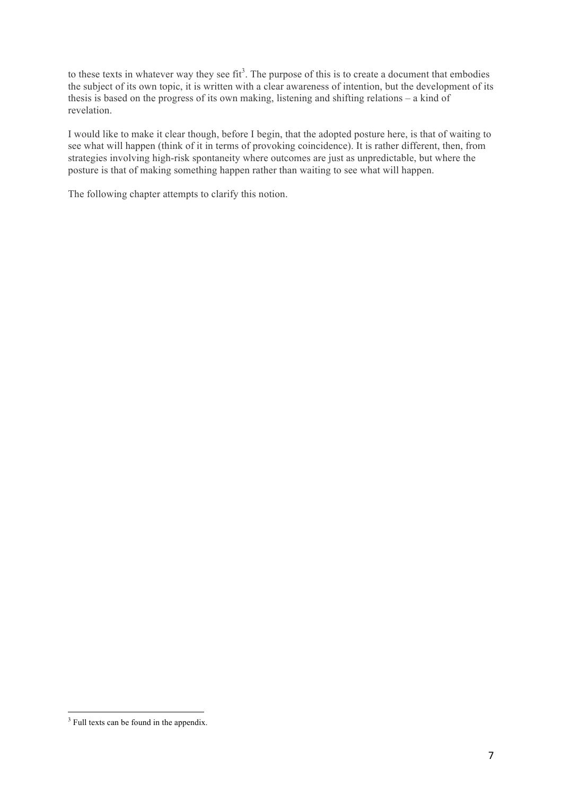to these texts in whatever way they see  $fit^3$ . The purpose of this is to create a document that embodies the subject of its own topic, it is written with a clear awareness of intention, but the development of its thesis is based on the progress of its own making, listening and shifting relations – a kind of revelation.

I would like to make it clear though, before I begin, that the adopted posture here, is that of waiting to see what will happen (think of it in terms of provoking coincidence). It is rather different, then, from strategies involving high-risk spontaneity where outcomes are just as unpredictable, but where the posture is that of making something happen rather than waiting to see what will happen.

The following chapter attempts to clarify this notion.

<sup>&</sup>lt;sup>3</sup> Full texts can be found in the appendix.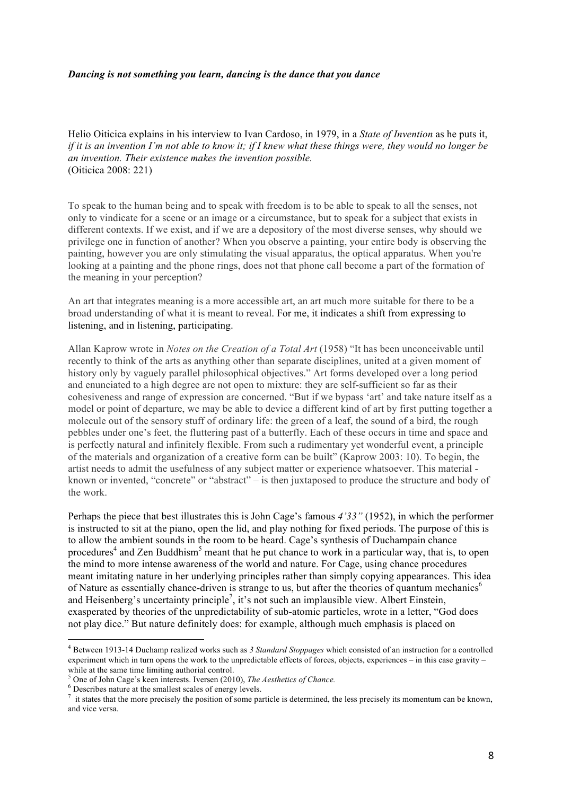#### *Dancing is not something you learn, dancing is the dance that you dance*

Helio Oiticica explains in his interview to Ivan Cardoso, in 1979, in a *State of Invention* as he puts it, *if it is an invention I'm not able to know it; if I knew what these things were, they would no longer be an invention. Their existence makes the invention possible.* (Oiticica 2008: 221)

To speak to the human being and to speak with freedom is to be able to speak to all the senses, not only to vindicate for a scene or an image or a circumstance, but to speak for a subject that exists in different contexts. If we exist, and if we are a depository of the most diverse senses, why should we privilege one in function of another? When you observe a painting, your entire body is observing the painting, however you are only stimulating the visual apparatus, the optical apparatus. When you're looking at a painting and the phone rings, does not that phone call become a part of the formation of the meaning in your perception?

An art that integrates meaning is a more accessible art, an art much more suitable for there to be a broad understanding of what it is meant to reveal. For me, it indicates a shift from expressing to listening, and in listening, participating.

Allan Kaprow wrote in *Notes on the Creation of a Total Art* (1958) "It has been unconceivable until recently to think of the arts as anything other than separate disciplines, united at a given moment of history only by vaguely parallel philosophical objectives." Art forms developed over a long period and enunciated to a high degree are not open to mixture: they are self-sufficient so far as their cohesiveness and range of expression are concerned. "But if we bypass 'art' and take nature itself as a model or point of departure, we may be able to device a different kind of art by first putting together a molecule out of the sensory stuff of ordinary life: the green of a leaf, the sound of a bird, the rough pebbles under one's feet, the fluttering past of a butterfly. Each of these occurs in time and space and is perfectly natural and infinitely flexible. From such a rudimentary yet wonderful event, a principle of the materials and organization of a creative form can be built" (Kaprow 2003: 10). To begin, the artist needs to admit the usefulness of any subject matter or experience whatsoever. This material known or invented, "concrete" or "abstract" – is then juxtaposed to produce the structure and body of the work.

Perhaps the piece that best illustrates this is John Cage's famous *4'33"* (1952), in which the performer is instructed to sit at the piano, open the lid, and play nothing for fixed periods. The purpose of this is to allow the ambient sounds in the room to be heard. Cage's synthesis of Duchampain chance procedures<sup>4</sup> and Zen Buddhism<sup>5</sup> meant that he put chance to work in a particular way, that is, to open the mind to more intense awareness of the world and nature. For Cage, using chance procedures meant imitating nature in her underlying principles rather than simply copying appearances. This idea of Nature as essentially chance-driven is strange to us, but after the theories of quantum mechanics<sup>6</sup> and Heisenberg's uncertainty principle<sup>7</sup>, it's not such an implausible view. Albert Einstein, exasperated by theories of the unpredictability of sub-atomic particles, wrote in a letter, "God does not play dice." But nature definitely does: for example, although much emphasis is placed on

 <sup>4</sup> Between 1913-14 Duchamp realized works such as *3 Standard Stoppages* which consisted of an instruction for a controlled experiment which in turn opens the work to the unpredictable effects of forces, objects, experiences – in this case gravity – while at the same time limiting authorial control.

<sup>5</sup> One of John Cage's keen interests. Iversen (2010), *The Aesthetics of Chance.* <sup>6</sup> Describes nature at the smallest scales of energy levels.

<sup>&</sup>lt;sup>7</sup> it states that the more precisely the position of some particle is determined, the less precisely its momentum can be known, and vice versa.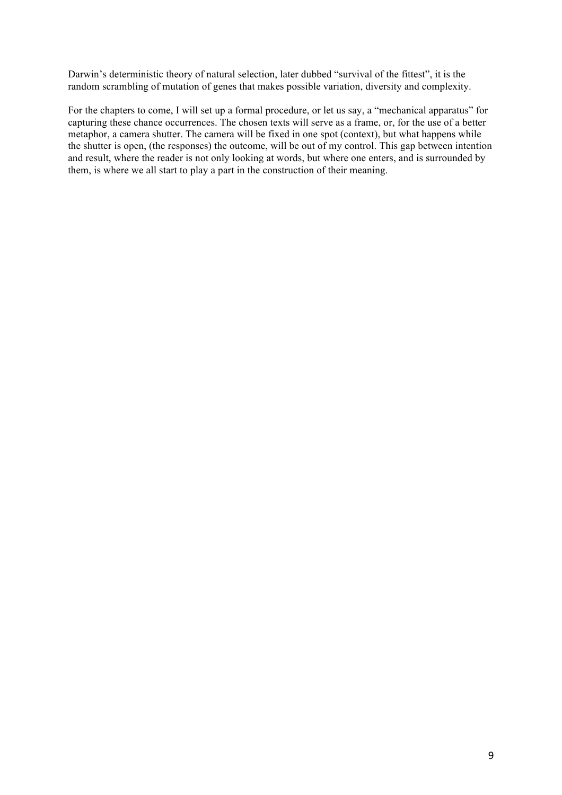Darwin's deterministic theory of natural selection, later dubbed "survival of the fittest", it is the random scrambling of mutation of genes that makes possible variation, diversity and complexity.

For the chapters to come, I will set up a formal procedure, or let us say, a "mechanical apparatus" for capturing these chance occurrences. The chosen texts will serve as a frame, or, for the use of a better metaphor, a camera shutter. The camera will be fixed in one spot (context), but what happens while the shutter is open, (the responses) the outcome, will be out of my control. This gap between intention and result, where the reader is not only looking at words, but where one enters, and is surrounded by them, is where we all start to play a part in the construction of their meaning.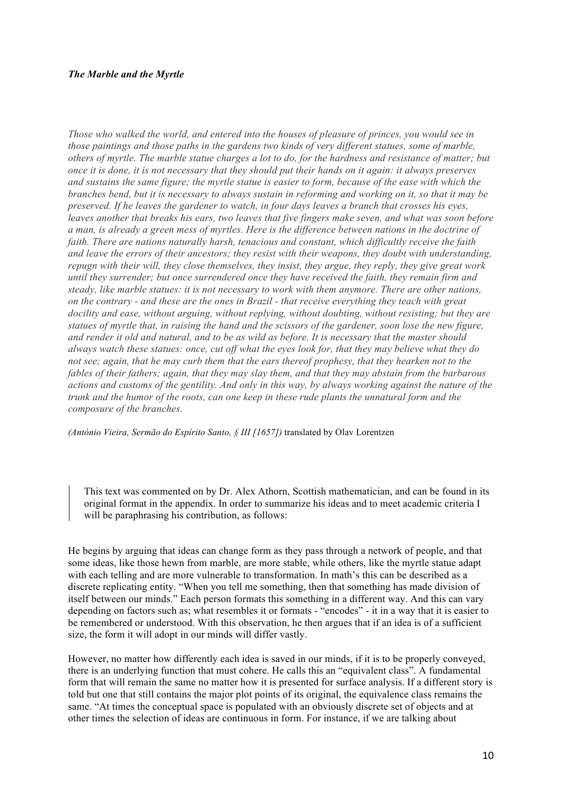#### *The Marble and the Myrtle*

*Those who walked the world, and entered into the houses of pleasure of princes, you would see in those paintings and those paths in the gardens two kinds of very different statues, some of marble, others of myrtle. The marble statue charges a lot to do, for the hardness and resistance of matter; but once it is done, it is not necessary that they should put their hands on it again: it always preserves and sustains the same figure; the myrtle statue is easier to form, because of the ease with which the branches bend, but it is necessary to always sustain in reforming and working on it, so that it may be preserved. If he leaves the gardener to watch, in four days leaves a branch that crosses his eyes, leaves another that breaks his ears, two leaves that five fingers make seven, and what was soon before a man, is already a green mess of myrtles. Here is the difference between nations in the doctrine of faith. There are nations naturally harsh, tenacious and constant, which difficultly receive the faith and leave the errors of their ancestors; they resist with their weapons, they doubt with understanding, repugn with their will, they close themselves, they insist, they argue, they reply, they give great work until they surrender; but once surrendered once they have received the faith, they remain firm and steady, like marble statues: it is not necessary to work with them anymore. There are other nations, on the contrary - and these are the ones in Brazil - that receive everything they teach with great docility and ease, without arguing, without replying, without doubting, without resisting; but they are statues of myrtle that, in raising the hand and the scissors of the gardener, soon lose the new figure, and render it old and natural, and to be as wild as before. It is necessary that the master should always watch these statues: once, cut off what the eyes look for, that they may believe what they do not see; again, that he may curb them that the ears thereof prophesy, that they hearken not to the fables of their fathers; again, that they may slay them, and that they may abstain from the barbarous actions and customs of the gentility. And only in this way, by always working against the nature of the trunk and the humor of the roots, can one keep in these rude plants the unnatural form and the composure of the branches.*

*(António Vieira, Sermão do Espírito Santo, § III [1657])* translated by Olav Lorentzen

This text was commented on by Dr. Alex Athorn, Scottish mathematician, and can be found in its original format in the appendix. In order to summarize his ideas and to meet academic criteria I will be paraphrasing his contribution, as follows:

He begins by arguing that ideas can change form as they pass through a network of people, and that some ideas, like those hewn from marble, are more stable, while others, like the myrtle statue adapt with each telling and are more vulnerable to transformation. In math's this can be described as a discrete replicating entity. "When you tell me something, then that something has made division of itself between our minds." Each person formats this something in a different way. And this can vary depending on factors such as; what resembles it or formats - "encodes" - it in a way that it is easier to be remembered or understood. With this observation, he then argues that if an idea is of a sufficient size, the form it will adopt in our minds will differ vastly.

However, no matter how differently each idea is saved in our minds, if it is to be properly conveyed, there is an underlying function that must cohere. He calls this an "equivalent class". A fundamental form that will remain the same no matter how it is presented for surface analysis. If a different story is told but one that still contains the major plot points of its original, the equivalence class remains the same. "At times the conceptual space is populated with an obviously discrete set of objects and at other times the selection of ideas are continuous in form. For instance, if we are talking about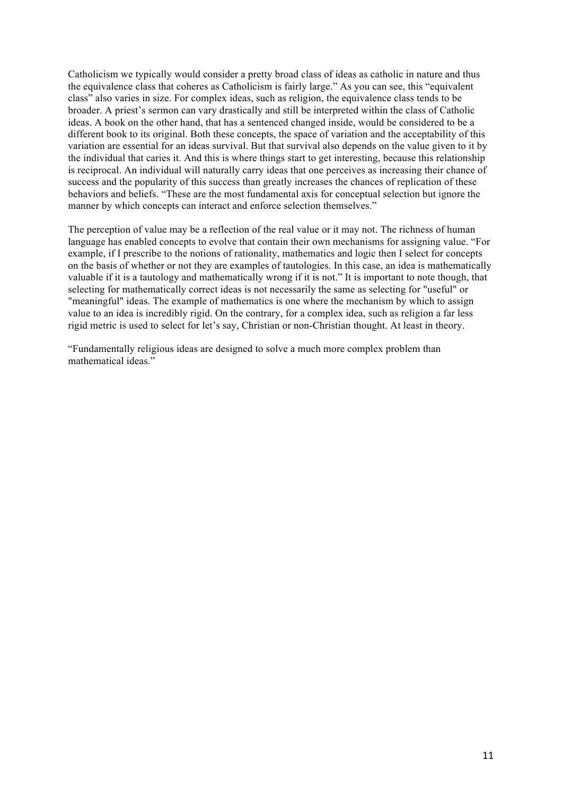Catholicism we typically would consider a pretty broad class of ideas as catholic in nature and thus the equivalence class that coheres as Catholicism is fairly large." As you can see, this "equivalent class" also varies in size. For complex ideas, such as religion, the equivalence class tends to be broader. A priest's sermon can vary drastically and still be interpreted within the class of Catholic ideas. A book on the other hand, that has a sentenced changed inside, would be considered to be a different book to its original. Both these concepts, the space of variation and the acceptability of this variation are essential for an ideas survival. But that survival also depends on the value given to it by the individual that caries it. And this is where things start to get interesting, because this relationship is reciprocal. An individual will naturally carry ideas that one perceives as increasing their chance of success and the popularity of this success than greatly increases the chances of replication of these behaviors and beliefs. "These are the most fundamental axis for conceptual selection but ignore the manner by which concepts can interact and enforce selection themselves."

The perception of value may be a reflection of the real value or it may not. The richness of human language has enabled concepts to evolve that contain their own mechanisms for assigning value. "For example, if I prescribe to the notions of rationality, mathematics and logic then I select for concepts on the basis of whether or not they are examples of tautologies. In this case, an idea is mathematically valuable if it is a tautology and mathematically wrong if it is not." It is important to note though, that selecting for mathematically correct ideas is not necessarily the same as selecting for "useful" or "meaningful" ideas. The example of mathematics is one where the mechanism by which to assign value to an idea is incredibly rigid. On the contrary, for a complex idea, such as religion a far less rigid metric is used to select for let's say, Christian or non-Christian thought. At least in theory.

"Fundamentally religious ideas are designed to solve a much more complex problem than mathematical ideas."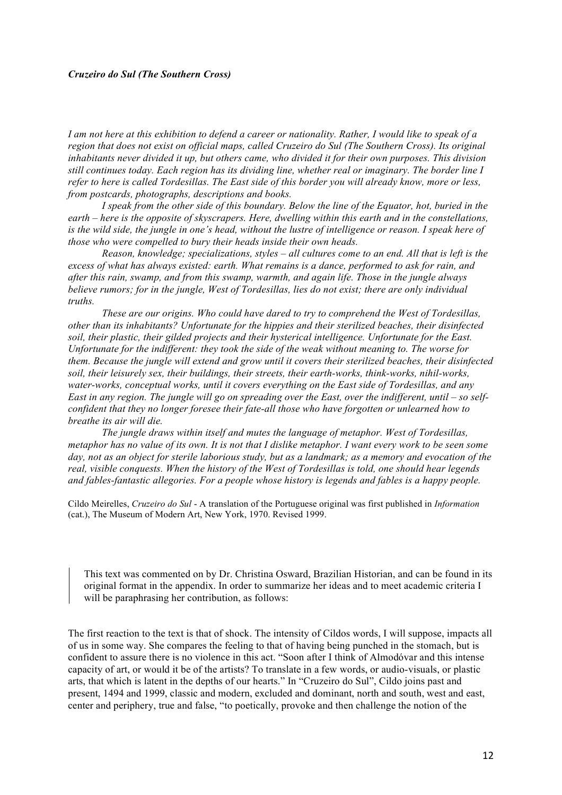#### *Cruzeiro do Sul (The Southern Cross)*

*I am not here at this exhibition to defend a career or nationality. Rather, I would like to speak of a region that does not exist on official maps, called Cruzeiro do Sul (The Southern Cross). Its original inhabitants never divided it up, but others came, who divided it for their own purposes. This division still continues today. Each region has its dividing line, whether real or imaginary. The border line I refer to here is called Tordesillas. The East side of this border you will already know, more or less, from postcards, photographs, descriptions and books.*

*I speak from the other side of this boundary. Below the line of the Equator, hot, buried in the earth – here is the opposite of skyscrapers. Here, dwelling within this earth and in the constellations,*  is the wild side, the jungle in one's head, without the lustre of intelligence or reason. I speak here of *those who were compelled to bury their heads inside their own heads.*

*Reason, knowledge; specializations, styles – all cultures come to an end. All that is left is the excess of what has always existed: earth. What remains is a dance, performed to ask for rain, and after this rain, swamp, and from this swamp, warmth, and again life. Those in the jungle always believe rumors; for in the jungle, West of Tordesillas, lies do not exist; there are only individual truths.*

*These are our origins. Who could have dared to try to comprehend the West of Tordesillas, other than its inhabitants? Unfortunate for the hippies and their sterilized beaches, their disinfected soil, their plastic, their gilded projects and their hysterical intelligence. Unfortunate for the East. Unfortunate for the indifferent: they took the side of the weak without meaning to. The worse for them. Because the jungle will extend and grow until it covers their sterilized beaches, their disinfected soil, their leisurely sex, their buildings, their streets, their earth-works, think-works, nihil-works, water-works, conceptual works, until it covers everything on the East side of Tordesillas, and any East in any region. The jungle will go on spreading over the East, over the indifferent, until – so selfconfident that they no longer foresee their fate-all those who have forgotten or unlearned how to breathe its air will die.*

*The jungle draws within itself and mutes the language of metaphor. West of Tordesillas, metaphor has no value of its own. It is not that I dislike metaphor. I want every work to be seen some day, not as an object for sterile laborious study, but as a landmark; as a memory and evocation of the real, visible conquests. When the history of the West of Tordesillas is told, one should hear legends and fables-fantastic allegories. For a people whose history is legends and fables is a happy people.*

Cildo Meirelles, *Cruzeiro do Sul* - A translation of the Portuguese original was first published in *Information* (cat.), The Museum of Modern Art, New York, 1970. Revised 1999.

This text was commented on by Dr. Christina Osward, Brazilian Historian, and can be found in its original format in the appendix. In order to summarize her ideas and to meet academic criteria I will be paraphrasing her contribution, as follows:

The first reaction to the text is that of shock. The intensity of Cildos words, I will suppose, impacts all of us in some way. She compares the feeling to that of having being punched in the stomach, but is confident to assure there is no violence in this act. "Soon after I think of Almodóvar and this intense capacity of art, or would it be of the artists? To translate in a few words, or audio-visuals, or plastic arts, that which is latent in the depths of our hearts." In "Cruzeiro do Sul", Cildo joins past and present, 1494 and 1999, classic and modern, excluded and dominant, north and south, west and east, center and periphery, true and false, "to poetically, provoke and then challenge the notion of the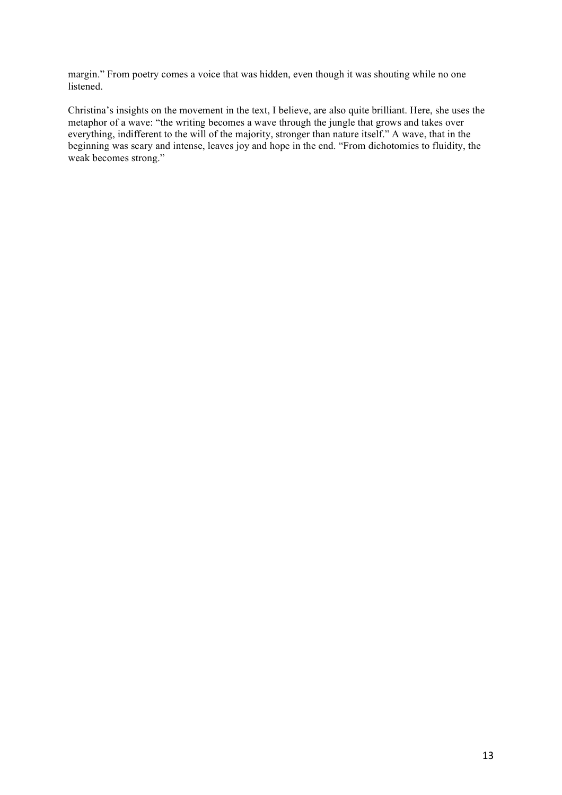margin." From poetry comes a voice that was hidden, even though it was shouting while no one listened.

Christina's insights on the movement in the text, I believe, are also quite brilliant. Here, she uses the metaphor of a wave: "the writing becomes a wave through the jungle that grows and takes over everything, indifferent to the will of the majority, stronger than nature itself." A wave, that in the beginning was scary and intense, leaves joy and hope in the end. "From dichotomies to fluidity, the weak becomes strong."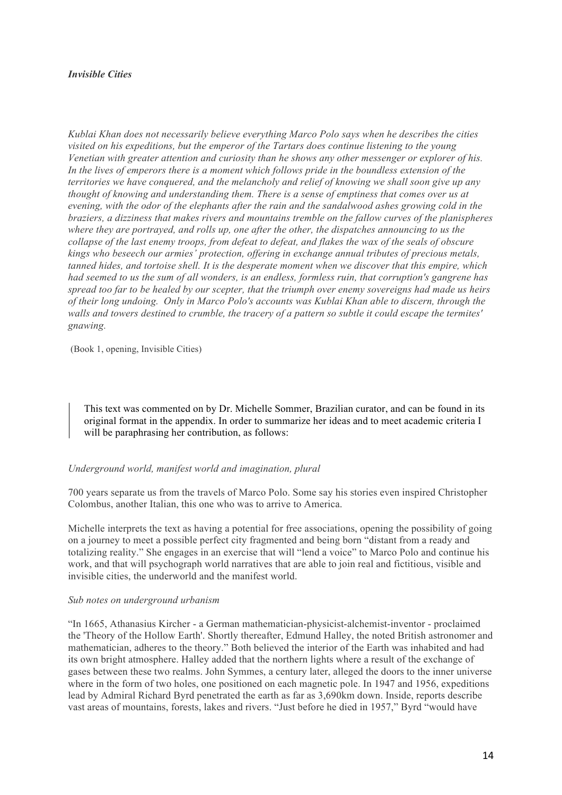## *Invisible Cities*

*Kublai Khan does not necessarily believe everything Marco Polo says when he describes the cities visited on his expeditions, but the emperor of the Tartars does continue listening to the young Venetian with greater attention and curiosity than he shows any other messenger or explorer of his. In the lives of emperors there is a moment which follows pride in the boundless extension of the territories we have conquered, and the melancholy and relief of knowing we shall soon give up any thought of knowing and understanding them. There is a sense of emptiness that comes over us at evening, with the odor of the elephants after the rain and the sandalwood ashes growing cold in the braziers, a dizziness that makes rivers and mountains tremble on the fallow curves of the planispheres where they are portrayed, and rolls up, one after the other, the dispatches announcing to us the collapse of the last enemy troops, from defeat to defeat, and flakes the wax of the seals of obscure kings who beseech our armies' protection, offering in exchange annual tributes of precious metals, tanned hides, and tortoise shell. It is the desperate moment when we discover that this empire, which had seemed to us the sum of all wonders, is an endless, formless ruin, that corruption's gangrene has spread too far to be healed by our scepter, that the triumph over enemy sovereigns had made us heirs of their long undoing. Only in Marco Polo's accounts was Kublai Khan able to discern, through the walls and towers destined to crumble, the tracery of a pattern so subtle it could escape the termites' gnawing.*

(Book 1, opening, Invisible Cities)

This text was commented on by Dr. Michelle Sommer, Brazilian curator, and can be found in its original format in the appendix. In order to summarize her ideas and to meet academic criteria I will be paraphrasing her contribution, as follows:

## *Underground world, manifest world and imagination, plural*

700 years separate us from the travels of Marco Polo. Some say his stories even inspired Christopher Colombus, another Italian, this one who was to arrive to America.

Michelle interprets the text as having a potential for free associations, opening the possibility of going on a journey to meet a possible perfect city fragmented and being born "distant from a ready and totalizing reality." She engages in an exercise that will "lend a voice" to Marco Polo and continue his work, and that will psychograph world narratives that are able to join real and fictitious, visible and invisible cities, the underworld and the manifest world.

#### *Sub notes on underground urbanism*

"In 1665, Athanasius Kircher - a German mathematician-physicist-alchemist-inventor - proclaimed the 'Theory of the Hollow Earth'. Shortly thereafter, Edmund Halley, the noted British astronomer and mathematician, adheres to the theory." Both believed the interior of the Earth was inhabited and had its own bright atmosphere. Halley added that the northern lights where a result of the exchange of gases between these two realms. John Symmes, a century later, alleged the doors to the inner universe where in the form of two holes, one positioned on each magnetic pole. In 1947 and 1956, expeditions lead by Admiral Richard Byrd penetrated the earth as far as 3,690km down. Inside, reports describe vast areas of mountains, forests, lakes and rivers. "Just before he died in 1957," Byrd "would have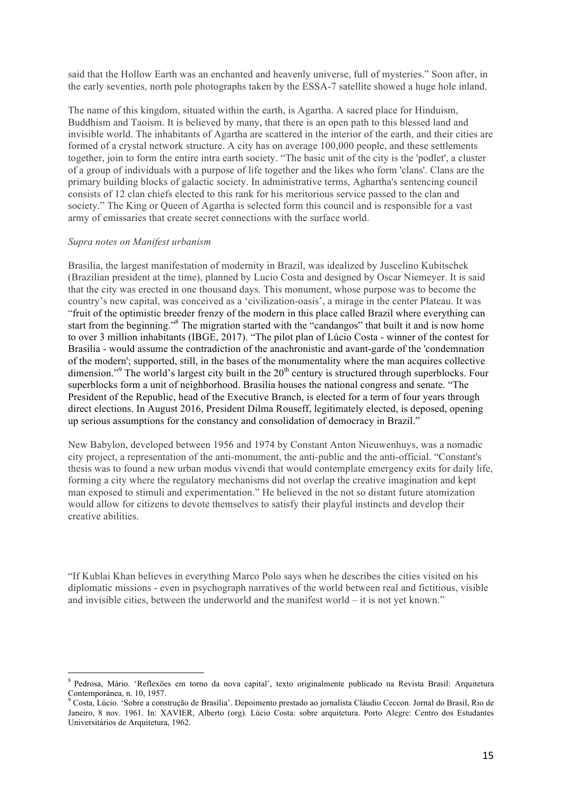said that the Hollow Earth was an enchanted and heavenly universe, full of mysteries." Soon after, in the early seventies, north pole photographs taken by the ESSA-7 satellite showed a huge hole inland.

The name of this kingdom, situated within the earth, is Agartha. A sacred place for Hinduism, Buddhism and Taoism. It is believed by many, that there is an open path to this blessed land and invisible world. The inhabitants of Agartha are scattered in the interior of the earth, and their cities are formed of a crystal network structure. A city has on average 100,000 people, and these settlements together, join to form the entire intra earth society. "The basic unit of the city is the 'podlet', a cluster of a group of individuals with a purpose of life together and the likes who form 'clans'. Clans are the primary building blocks of galactic society. In administrative terms, Aghartha's sentencing council consists of 12 clan chiefs elected to this rank for his meritorious service passed to the clan and society." The King or Queen of Agartha is selected form this council and is responsible for a vast army of emissaries that create secret connections with the surface world.

#### *Supra notes on Manifest urbanism*

Brasilia, the largest manifestation of modernity in Brazil, was idealized by Juscelino Kubitschek (Brazilian president at the time), planned by Lucio Costa and designed by Oscar Niemeyer. It is said that the city was erected in one thousand days. This monument, whose purpose was to become the country's new capital, was conceived as a 'civilization-oasis', a mirage in the center Plateau. It was "fruit of the optimistic breeder frenzy of the modern in this place called Brazil where everything can start from the beginning."<sup>8</sup> The migration started with the "candangos" that built it and is now home to over 3 million inhabitants (IBGE, 2017). "The pilot plan of Lúcio Costa - winner of the contest for Brasília - would assume the contradiction of the anachronistic and avant-garde of the 'condemnation of the modern'; supported, still, in the bases of the monumentality where the man acquires collective dimension."<sup>9</sup> The world's largest city built in the  $20<sup>th</sup>$  century is structured through superblocks. Four superblocks form a unit of neighborhood. Brasilia houses the national congress and senate. "The President of the Republic, head of the Executive Branch, is elected for a term of four years through direct elections. In August 2016, President Dilma Rouseff, legitimately elected, is deposed, opening up serious assumptions for the constancy and consolidation of democracy in Brazil."

New Babylon, developed between 1956 and 1974 by Constant Anton Nieuwenhuys, was a nomadic city project, a representation of the anti-monument, the anti-public and the anti-official. "Constant's thesis was to found a new urban modus vivendi that would contemplate emergency exits for daily life, forming a city where the regulatory mechanisms did not overlap the creative imagination and kept man exposed to stimuli and experimentation." He believed in the not so distant future atomization would allow for citizens to devote themselves to satisfy their playful instincts and develop their creative abilities.

"If Kublai Khan believes in everything Marco Polo says when he describes the cities visited on his diplomatic missions - even in psychograph narratives of the world between real and fictitious, visible and invisible cities, between the underworld and the manifest world – it is not yet known."

 <sup>8</sup> Pedrosa, Mário. 'Reflexões em torno da nova capital', texto originalmente publicado na Revista Brasil: Arquitetura Contemporânea, n. 10, 1957. <sup>9</sup> Costa, Lúcio. 'Sobre <sup>a</sup> construção de Brasília'. Depoimento prestado ao jornalista Cláudio Ceccon. Jornal do Brasil, Rio de

Janeiro, 8 nov. 1961. In: XAVIER, Alberto (org). Lúcio Costa: sobre arquitetura. Porto Alegre: Centro dos Estudantes Universitários de Arquitetura, 1962.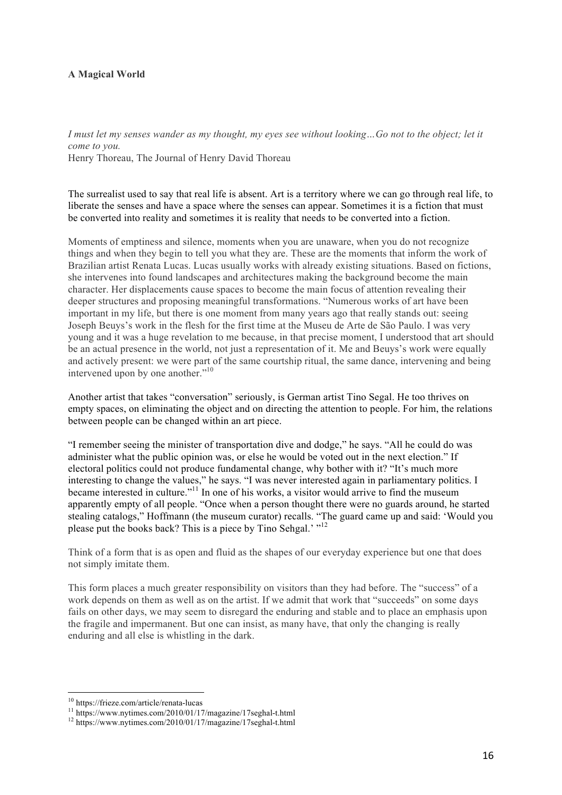## **A Magical World**

*I must let my senses wander as my thought, my eyes see without looking…Go not to the object; let it come to you.* Henry Thoreau, The Journal of Henry David Thoreau

The surrealist used to say that real life is absent. Art is a territory where we can go through real life, to liberate the senses and have a space where the senses can appear. Sometimes it is a fiction that must be converted into reality and sometimes it is reality that needs to be converted into a fiction.

Moments of emptiness and silence, moments when you are unaware, when you do not recognize things and when they begin to tell you what they are. These are the moments that inform the work of Brazilian artist Renata Lucas. Lucas usually works with already existing situations. Based on fictions, she intervenes into found landscapes and architectures making the background become the main character. Her displacements cause spaces to become the main focus of attention revealing their deeper structures and proposing meaningful transformations. "Numerous works of art have been important in my life, but there is one moment from many years ago that really stands out: seeing Joseph Beuys's work in the flesh for the first time at the Museu de Arte de São Paulo. I was very young and it was a huge revelation to me because, in that precise moment, I understood that art should be an actual presence in the world, not just a representation of it. Me and Beuys's work were equally and actively present: we were part of the same courtship ritual, the same dance, intervening and being intervened upon by one another."<sup>10</sup>

Another artist that takes "conversation" seriously, is German artist Tino Segal. He too thrives on empty spaces, on eliminating the object and on directing the attention to people. For him, the relations between people can be changed within an art piece.

"I remember seeing the minister of transportation dive and dodge," he says. "All he could do was administer what the public opinion was, or else he would be voted out in the next election." If electoral politics could not produce fundamental change, why bother with it? "It's much more interesting to change the values," he says. "I was never interested again in parliamentary politics. I became interested in culture."<sup>11</sup> In one of his works, a visitor would arrive to find the museum apparently empty of all people. "Once when a person thought there were no guards around, he started stealing catalogs," Hoffmann (the museum curator) recalls. "The guard came up and said: 'Would you please put the books back? This is a piece by Tino Sehgal.' "<sup>12</sup>

Think of a form that is as open and fluid as the shapes of our everyday experience but one that does not simply imitate them.

This form places a much greater responsibility on visitors than they had before. The "success" of a work depends on them as well as on the artist. If we admit that work that "succeeds" on some days fails on other days, we may seem to disregard the enduring and stable and to place an emphasis upon the fragile and impermanent. But one can insist, as many have, that only the changing is really enduring and all else is whistling in the dark.

<sup>&</sup>lt;sup>10</sup> https://frieze.com/article/renata-lucas<br><sup>11</sup> https://www.nytimes.com/2010/01/17/magazine/17seghal-t.html<br><sup>12</sup> https://www.nytimes.com/2010/01/17/magazine/17seghal-t.html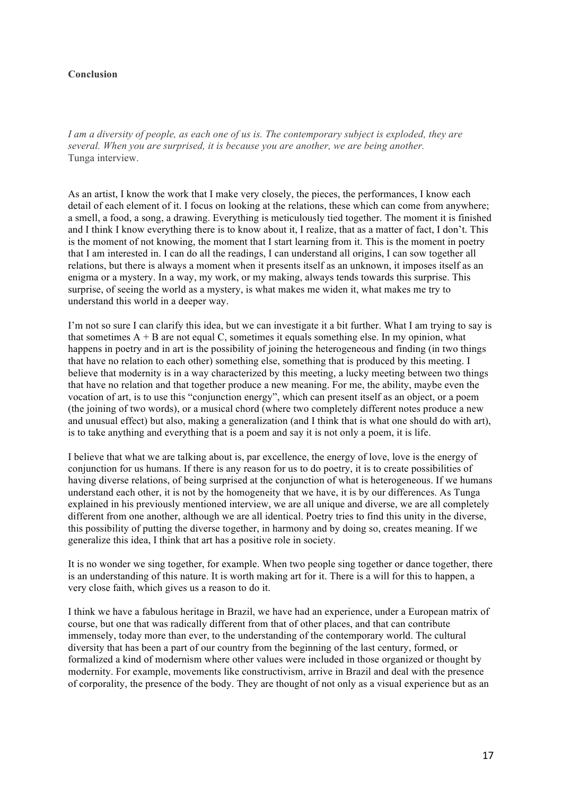## **Conclusion**

*I am a diversity of people, as each one of us is. The contemporary subject is exploded, they are several. When you are surprised, it is because you are another, we are being another.* Tunga interview.

As an artist, I know the work that I make very closely, the pieces, the performances, I know each detail of each element of it. I focus on looking at the relations, these which can come from anywhere; a smell, a food, a song, a drawing. Everything is meticulously tied together. The moment it is finished and I think I know everything there is to know about it, I realize, that as a matter of fact, I don't. This is the moment of not knowing, the moment that I start learning from it. This is the moment in poetry that I am interested in. I can do all the readings, I can understand all origins, I can sow together all relations, but there is always a moment when it presents itself as an unknown, it imposes itself as an enigma or a mystery. In a way, my work, or my making, always tends towards this surprise. This surprise, of seeing the world as a mystery, is what makes me widen it, what makes me try to understand this world in a deeper way.

I'm not so sure I can clarify this idea, but we can investigate it a bit further. What I am trying to say is that sometimes  $A + B$  are not equal C, sometimes it equals something else. In my opinion, what happens in poetry and in art is the possibility of joining the heterogeneous and finding (in two things that have no relation to each other) something else, something that is produced by this meeting. I believe that modernity is in a way characterized by this meeting, a lucky meeting between two things that have no relation and that together produce a new meaning. For me, the ability, maybe even the vocation of art, is to use this "conjunction energy", which can present itself as an object, or a poem (the joining of two words), or a musical chord (where two completely different notes produce a new and unusual effect) but also, making a generalization (and I think that is what one should do with art), is to take anything and everything that is a poem and say it is not only a poem, it is life.

I believe that what we are talking about is, par excellence, the energy of love, love is the energy of conjunction for us humans. If there is any reason for us to do poetry, it is to create possibilities of having diverse relations, of being surprised at the conjunction of what is heterogeneous. If we humans understand each other, it is not by the homogeneity that we have, it is by our differences. As Tunga explained in his previously mentioned interview, we are all unique and diverse, we are all completely different from one another, although we are all identical. Poetry tries to find this unity in the diverse, this possibility of putting the diverse together, in harmony and by doing so, creates meaning. If we generalize this idea, I think that art has a positive role in society.

It is no wonder we sing together, for example. When two people sing together or dance together, there is an understanding of this nature. It is worth making art for it. There is a will for this to happen, a very close faith, which gives us a reason to do it.

I think we have a fabulous heritage in Brazil, we have had an experience, under a European matrix of course, but one that was radically different from that of other places, and that can contribute immensely, today more than ever, to the understanding of the contemporary world. The cultural diversity that has been a part of our country from the beginning of the last century, formed, or formalized a kind of modernism where other values were included in those organized or thought by modernity. For example, movements like constructivism, arrive in Brazil and deal with the presence of corporality, the presence of the body. They are thought of not only as a visual experience but as an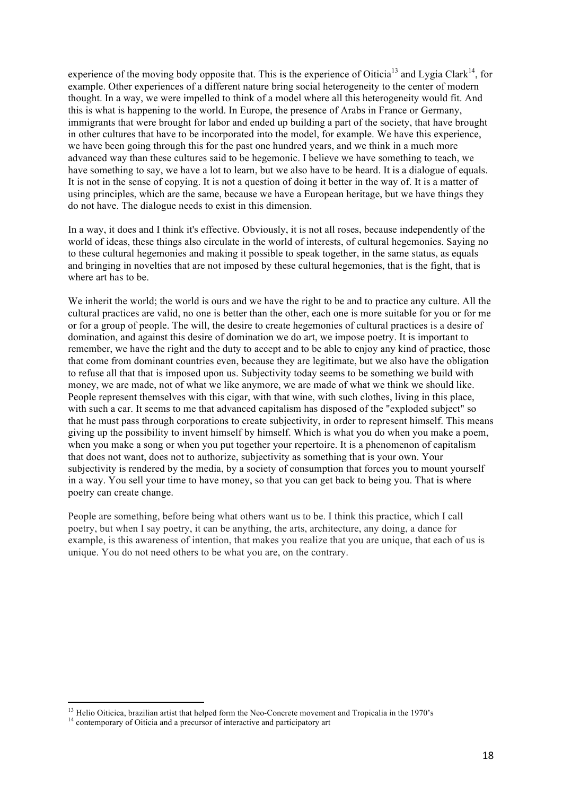experience of the moving body opposite that. This is the experience of Oiticia<sup>13</sup> and Lygia Clark<sup>14</sup>, for example. Other experiences of a different nature bring social heterogeneity to the center of modern thought. In a way, we were impelled to think of a model where all this heterogeneity would fit. And this is what is happening to the world. In Europe, the presence of Arabs in France or Germany, immigrants that were brought for labor and ended up building a part of the society, that have brought in other cultures that have to be incorporated into the model, for example. We have this experience, we have been going through this for the past one hundred years, and we think in a much more advanced way than these cultures said to be hegemonic. I believe we have something to teach, we have something to say, we have a lot to learn, but we also have to be heard. It is a dialogue of equals. It is not in the sense of copying. It is not a question of doing it better in the way of. It is a matter of using principles, which are the same, because we have a European heritage, but we have things they do not have. The dialogue needs to exist in this dimension.

In a way, it does and I think it's effective. Obviously, it is not all roses, because independently of the world of ideas, these things also circulate in the world of interests, of cultural hegemonies. Saying no to these cultural hegemonies and making it possible to speak together, in the same status, as equals and bringing in novelties that are not imposed by these cultural hegemonies, that is the fight, that is where art has to be.

We inherit the world; the world is ours and we have the right to be and to practice any culture. All the cultural practices are valid, no one is better than the other, each one is more suitable for you or for me or for a group of people. The will, the desire to create hegemonies of cultural practices is a desire of domination, and against this desire of domination we do art, we impose poetry. It is important to remember, we have the right and the duty to accept and to be able to enjoy any kind of practice, those that come from dominant countries even, because they are legitimate, but we also have the obligation to refuse all that that is imposed upon us. Subjectivity today seems to be something we build with money, we are made, not of what we like anymore, we are made of what we think we should like. People represent themselves with this cigar, with that wine, with such clothes, living in this place, with such a car. It seems to me that advanced capitalism has disposed of the "exploded subject" so that he must pass through corporations to create subjectivity, in order to represent himself. This means giving up the possibility to invent himself by himself. Which is what you do when you make a poem, when you make a song or when you put together your repertoire. It is a phenomenon of capitalism that does not want, does not to authorize, subjectivity as something that is your own. Your subjectivity is rendered by the media, by a society of consumption that forces you to mount yourself in a way. You sell your time to have money, so that you can get back to being you. That is where poetry can create change.

People are something, before being what others want us to be. I think this practice, which I call poetry, but when I say poetry, it can be anything, the arts, architecture, any doing, a dance for example, is this awareness of intention, that makes you realize that you are unique, that each of us is unique. You do not need others to be what you are, on the contrary.

<sup>&</sup>lt;sup>13</sup> Helio Oiticica, brazilian artist that helped form the Neo-Concrete movement and Tropicalia in the 1970's  $14$  contemporary of Oiticia and a precursor of interactive and participatory art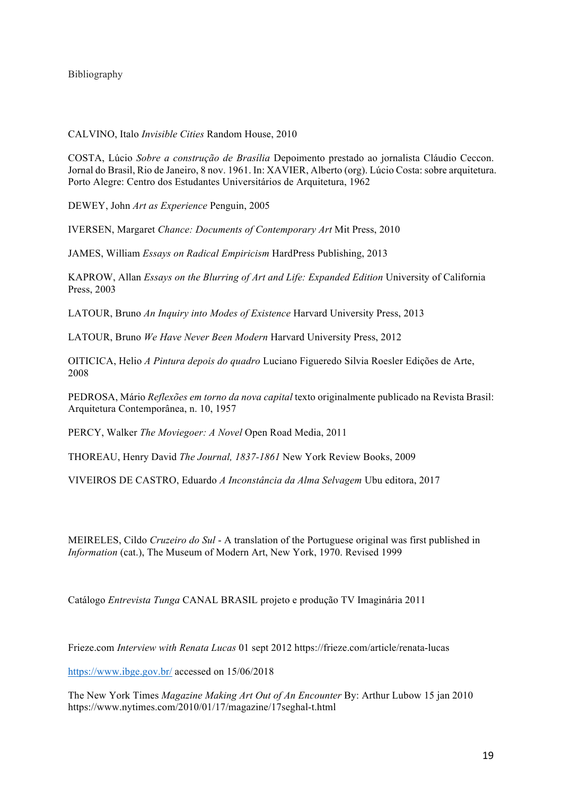Bibliography

CALVINO, Italo *Invisible Cities* Random House, 2010

COSTA, Lúcio *Sobre a construção de Brasília* Depoimento prestado ao jornalista Cláudio Ceccon. Jornal do Brasil, Rio de Janeiro, 8 nov. 1961. In: XAVIER, Alberto (org). Lúcio Costa: sobre arquitetura. Porto Alegre: Centro dos Estudantes Universitários de Arquitetura, 1962

DEWEY, John *Art as Experience* Penguin, 2005

IVERSEN, Margaret *Chance: Documents of Contemporary Art* Mit Press, 2010

JAMES, William *Essays on Radical Empiricism* HardPress Publishing, 2013

KAPROW, Allan *Essays on the Blurring of Art and Life: Expanded Edition* University of California Press, 2003

LATOUR, Bruno *An Inquiry into Modes of Existence* Harvard University Press, 2013

LATOUR, Bruno *We Have Never Been Modern* Harvard University Press, 2012

OITICICA, Helio *A Pintura depois do quadro* Luciano Figueredo Silvia Roesler Edições de Arte, 2008

PEDROSA, Mário *Reflexões em torno da nova capital* texto originalmente publicado na Revista Brasil: Arquitetura Contemporânea, n. 10, 1957

PERCY, Walker *The Moviegoer: A Novel* Open Road Media, 2011

THOREAU, Henry David *The Journal, 1837-1861* New York Review Books, 2009

VIVEIROS DE CASTRO, Eduardo *A Inconstância da Alma Selvagem* Ubu editora, 2017

MEIRELES, Cildo *Cruzeiro do Sul* - A translation of the Portuguese original was first published in *Information* (cat.), The Museum of Modern Art, New York, 1970. Revised 1999

Catálogo *Entrevista Tunga* CANAL BRASIL projeto e produção TV Imaginária 2011

Frieze.com *Interview with Renata Lucas* 01 sept 2012 https://frieze.com/article/renata-lucas

https://www.ibge.gov.br/ accessed on 15/06/2018

The New York Times *Magazine Making Art Out of An Encounter* By: Arthur Lubow 15 jan 2010 https://www.nytimes.com/2010/01/17/magazine/17seghal-t.html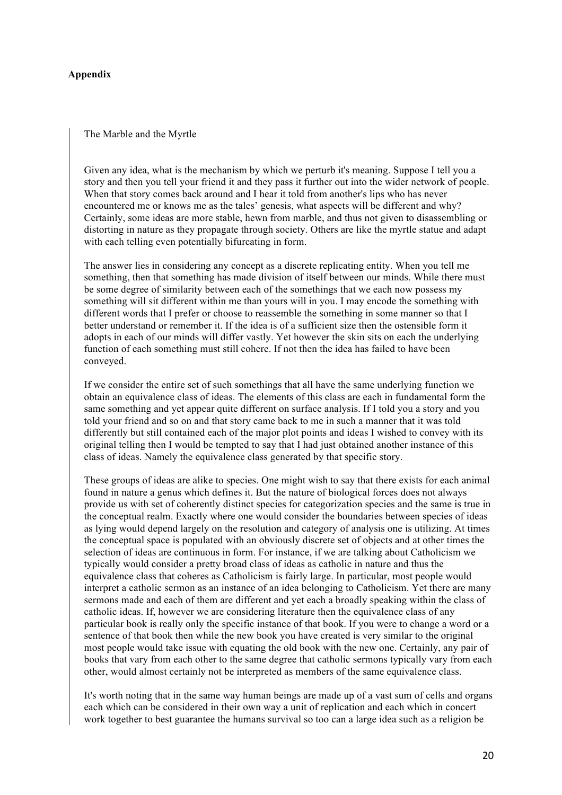## **Appendix**

The Marble and the Myrtle

Given any idea, what is the mechanism by which we perturb it's meaning. Suppose I tell you a story and then you tell your friend it and they pass it further out into the wider network of people. When that story comes back around and I hear it told from another's lips who has never encountered me or knows me as the tales' genesis, what aspects will be different and why? Certainly, some ideas are more stable, hewn from marble, and thus not given to disassembling or distorting in nature as they propagate through society. Others are like the myrtle statue and adapt with each telling even potentially bifurcating in form.

The answer lies in considering any concept as a discrete replicating entity. When you tell me something, then that something has made division of itself between our minds. While there must be some degree of similarity between each of the somethings that we each now possess my something will sit different within me than yours will in you. I may encode the something with different words that I prefer or choose to reassemble the something in some manner so that I better understand or remember it. If the idea is of a sufficient size then the ostensible form it adopts in each of our minds will differ vastly. Yet however the skin sits on each the underlying function of each something must still cohere. If not then the idea has failed to have been conveyed.

If we consider the entire set of such somethings that all have the same underlying function we obtain an equivalence class of ideas. The elements of this class are each in fundamental form the same something and yet appear quite different on surface analysis. If I told you a story and you told your friend and so on and that story came back to me in such a manner that it was told differently but still contained each of the major plot points and ideas I wished to convey with its original telling then I would be tempted to say that I had just obtained another instance of this class of ideas. Namely the equivalence class generated by that specific story.

These groups of ideas are alike to species. One might wish to say that there exists for each animal found in nature a genus which defines it. But the nature of biological forces does not always provide us with set of coherently distinct species for categorization species and the same is true in the conceptual realm. Exactly where one would consider the boundaries between species of ideas as lying would depend largely on the resolution and category of analysis one is utilizing. At times the conceptual space is populated with an obviously discrete set of objects and at other times the selection of ideas are continuous in form. For instance, if we are talking about Catholicism we typically would consider a pretty broad class of ideas as catholic in nature and thus the equivalence class that coheres as Catholicism is fairly large. In particular, most people would interpret a catholic sermon as an instance of an idea belonging to Catholicism. Yet there are many sermons made and each of them are different and yet each a broadly speaking within the class of catholic ideas. If, however we are considering literature then the equivalence class of any particular book is really only the specific instance of that book. If you were to change a word or a sentence of that book then while the new book you have created is very similar to the original most people would take issue with equating the old book with the new one. Certainly, any pair of books that vary from each other to the same degree that catholic sermons typically vary from each other, would almost certainly not be interpreted as members of the same equivalence class.

It's worth noting that in the same way human beings are made up of a vast sum of cells and organs each which can be considered in their own way a unit of replication and each which in concert work together to best guarantee the humans survival so too can a large idea such as a religion be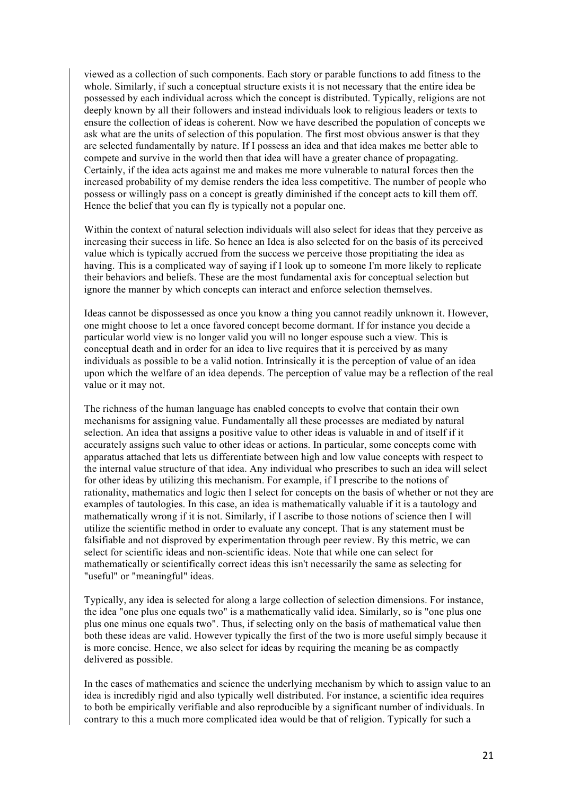viewed as a collection of such components. Each story or parable functions to add fitness to the whole. Similarly, if such a conceptual structure exists it is not necessary that the entire idea be possessed by each individual across which the concept is distributed. Typically, religions are not deeply known by all their followers and instead individuals look to religious leaders or texts to ensure the collection of ideas is coherent. Now we have described the population of concepts we ask what are the units of selection of this population. The first most obvious answer is that they are selected fundamentally by nature. If I possess an idea and that idea makes me better able to compete and survive in the world then that idea will have a greater chance of propagating. Certainly, if the idea acts against me and makes me more vulnerable to natural forces then the increased probability of my demise renders the idea less competitive. The number of people who possess or willingly pass on a concept is greatly diminished if the concept acts to kill them off. Hence the belief that you can fly is typically not a popular one.

Within the context of natural selection individuals will also select for ideas that they perceive as increasing their success in life. So hence an Idea is also selected for on the basis of its perceived value which is typically accrued from the success we perceive those propitiating the idea as having. This is a complicated way of saying if I look up to someone I'm more likely to replicate their behaviors and beliefs. These are the most fundamental axis for conceptual selection but ignore the manner by which concepts can interact and enforce selection themselves.

Ideas cannot be dispossessed as once you know a thing you cannot readily unknown it. However, one might choose to let a once favored concept become dormant. If for instance you decide a particular world view is no longer valid you will no longer espouse such a view. This is conceptual death and in order for an idea to live requires that it is perceived by as many individuals as possible to be a valid notion. Intrinsically it is the perception of value of an idea upon which the welfare of an idea depends. The perception of value may be a reflection of the real value or it may not.

The richness of the human language has enabled concepts to evolve that contain their own mechanisms for assigning value. Fundamentally all these processes are mediated by natural selection. An idea that assigns a positive value to other ideas is valuable in and of itself if it accurately assigns such value to other ideas or actions. In particular, some concepts come with apparatus attached that lets us differentiate between high and low value concepts with respect to the internal value structure of that idea. Any individual who prescribes to such an idea will select for other ideas by utilizing this mechanism. For example, if I prescribe to the notions of rationality, mathematics and logic then I select for concepts on the basis of whether or not they are examples of tautologies. In this case, an idea is mathematically valuable if it is a tautology and mathematically wrong if it is not. Similarly, if I ascribe to those notions of science then I will utilize the scientific method in order to evaluate any concept. That is any statement must be falsifiable and not disproved by experimentation through peer review. By this metric, we can select for scientific ideas and non-scientific ideas. Note that while one can select for mathematically or scientifically correct ideas this isn't necessarily the same as selecting for "useful" or "meaningful" ideas.

Typically, any idea is selected for along a large collection of selection dimensions. For instance, the idea "one plus one equals two" is a mathematically valid idea. Similarly, so is "one plus one plus one minus one equals two". Thus, if selecting only on the basis of mathematical value then both these ideas are valid. However typically the first of the two is more useful simply because it is more concise. Hence, we also select for ideas by requiring the meaning be as compactly delivered as possible.

In the cases of mathematics and science the underlying mechanism by which to assign value to an idea is incredibly rigid and also typically well distributed. For instance, a scientific idea requires to both be empirically verifiable and also reproducible by a significant number of individuals. In contrary to this a much more complicated idea would be that of religion. Typically for such a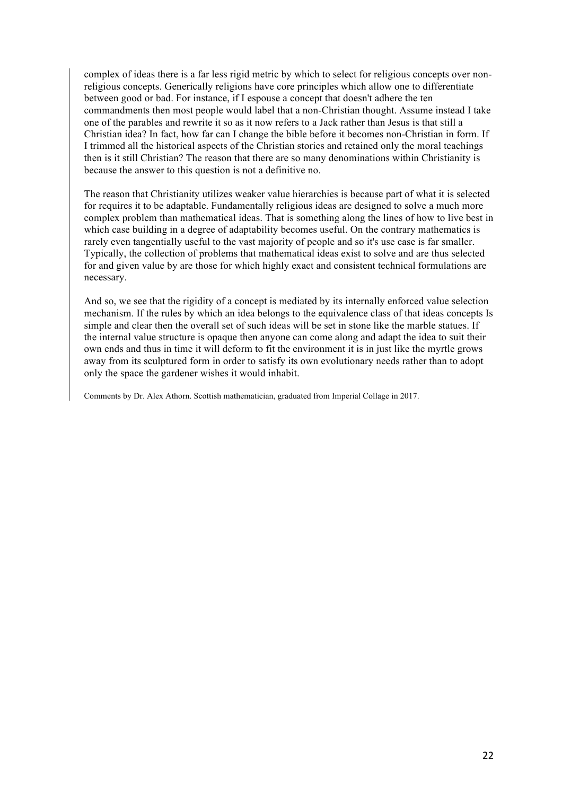complex of ideas there is a far less rigid metric by which to select for religious concepts over nonreligious concepts. Generically religions have core principles which allow one to differentiate between good or bad. For instance, if I espouse a concept that doesn't adhere the ten commandments then most people would label that a non-Christian thought. Assume instead I take one of the parables and rewrite it so as it now refers to a Jack rather than Jesus is that still a Christian idea? In fact, how far can I change the bible before it becomes non-Christian in form. If I trimmed all the historical aspects of the Christian stories and retained only the moral teachings then is it still Christian? The reason that there are so many denominations within Christianity is because the answer to this question is not a definitive no.

The reason that Christianity utilizes weaker value hierarchies is because part of what it is selected for requires it to be adaptable. Fundamentally religious ideas are designed to solve a much more complex problem than mathematical ideas. That is something along the lines of how to live best in which case building in a degree of adaptability becomes useful. On the contrary mathematics is rarely even tangentially useful to the vast majority of people and so it's use case is far smaller. Typically, the collection of problems that mathematical ideas exist to solve and are thus selected for and given value by are those for which highly exact and consistent technical formulations are necessary.

And so, we see that the rigidity of a concept is mediated by its internally enforced value selection mechanism. If the rules by which an idea belongs to the equivalence class of that ideas concepts Is simple and clear then the overall set of such ideas will be set in stone like the marble statues. If the internal value structure is opaque then anyone can come along and adapt the idea to suit their own ends and thus in time it will deform to fit the environment it is in just like the myrtle grows away from its sculptured form in order to satisfy its own evolutionary needs rather than to adopt only the space the gardener wishes it would inhabit.

Comments by Dr. Alex Athorn. Scottish mathematician, graduated from Imperial Collage in 2017.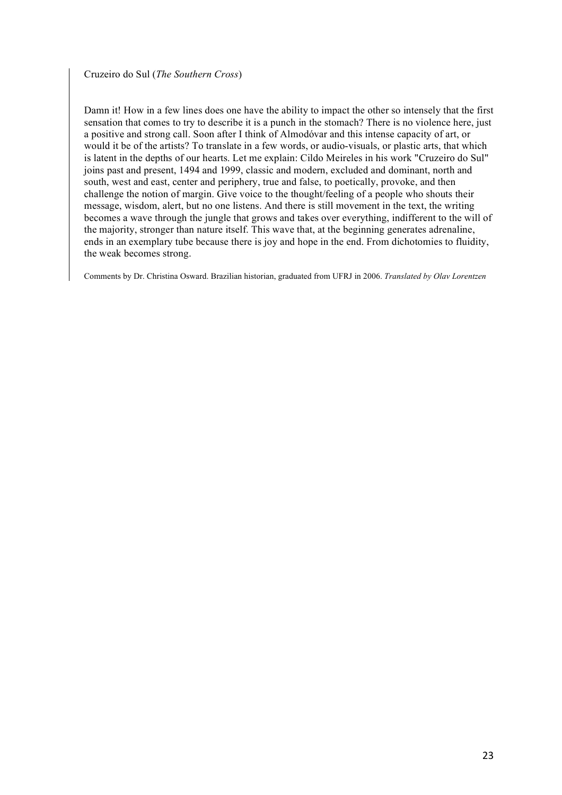## Cruzeiro do Sul (*The Southern Cross*)

Damn it! How in a few lines does one have the ability to impact the other so intensely that the first sensation that comes to try to describe it is a punch in the stomach? There is no violence here, just a positive and strong call. Soon after I think of Almodóvar and this intense capacity of art, or would it be of the artists? To translate in a few words, or audio-visuals, or plastic arts, that which is latent in the depths of our hearts. Let me explain: Cildo Meireles in his work "Cruzeiro do Sul" joins past and present, 1494 and 1999, classic and modern, excluded and dominant, north and south, west and east, center and periphery, true and false, to poetically, provoke, and then challenge the notion of margin. Give voice to the thought/feeling of a people who shouts their message, wisdom, alert, but no one listens. And there is still movement in the text, the writing becomes a wave through the jungle that grows and takes over everything, indifferent to the will of the majority, stronger than nature itself. This wave that, at the beginning generates adrenaline, ends in an exemplary tube because there is joy and hope in the end. From dichotomies to fluidity, the weak becomes strong.

Comments by Dr. Christina Osward. Brazilian historian, graduated from UFRJ in 2006. *Translated by Olav Lorentzen*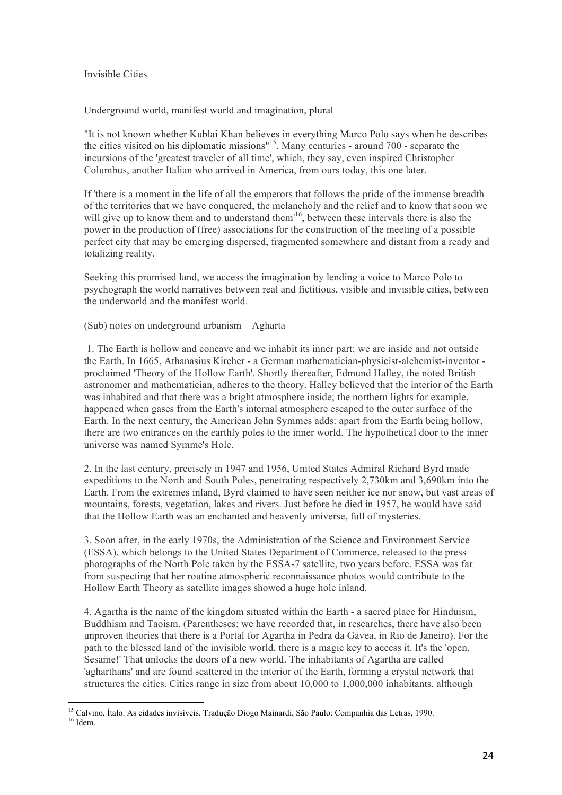Invisible Cities

Underground world, manifest world and imagination, plural

"It is not known whether Kublai Khan believes in everything Marco Polo says when he describes the cities visited on his diplomatic missions"15. Many centuries - around 700 - separate the incursions of the 'greatest traveler of all time', which, they say, even inspired Christopher Columbus, another Italian who arrived in America, from ours today, this one later.

If 'there is a moment in the life of all the emperors that follows the pride of the immense breadth of the territories that we have conquered, the melancholy and the relief and to know that soon we will give up to know them and to understand them<sup>116</sup>, between these intervals there is also the power in the production of (free) associations for the construction of the meeting of a possible perfect city that may be emerging dispersed, fragmented somewhere and distant from a ready and totalizing reality.

Seeking this promised land, we access the imagination by lending a voice to Marco Polo to psychograph the world narratives between real and fictitious, visible and invisible cities, between the underworld and the manifest world.

(Sub) notes on underground urbanism – Agharta

1. The Earth is hollow and concave and we inhabit its inner part: we are inside and not outside the Earth. In 1665, Athanasius Kircher - a German mathematician-physicist-alchemist-inventor proclaimed 'Theory of the Hollow Earth'. Shortly thereafter, Edmund Halley, the noted British astronomer and mathematician, adheres to the theory. Halley believed that the interior of the Earth was inhabited and that there was a bright atmosphere inside; the northern lights for example, happened when gases from the Earth's internal atmosphere escaped to the outer surface of the Earth. In the next century, the American John Symmes adds: apart from the Earth being hollow, there are two entrances on the earthly poles to the inner world. The hypothetical door to the inner universe was named Symme's Hole.

2. In the last century, precisely in 1947 and 1956, United States Admiral Richard Byrd made expeditions to the North and South Poles, penetrating respectively 2,730km and 3,690km into the Earth. From the extremes inland, Byrd claimed to have seen neither ice nor snow, but vast areas of mountains, forests, vegetation, lakes and rivers. Just before he died in 1957, he would have said that the Hollow Earth was an enchanted and heavenly universe, full of mysteries.

3. Soon after, in the early 1970s, the Administration of the Science and Environment Service (ESSA), which belongs to the United States Department of Commerce, released to the press photographs of the North Pole taken by the ESSA-7 satellite, two years before. ESSA was far from suspecting that her routine atmospheric reconnaissance photos would contribute to the Hollow Earth Theory as satellite images showed a huge hole inland.

4. Agartha is the name of the kingdom situated within the Earth - a sacred place for Hinduism, Buddhism and Taoism. (Parentheses: we have recorded that, in researches, there have also been unproven theories that there is a Portal for Agartha in Pedra da Gávea, in Rio de Janeiro). For the path to the blessed land of the invisible world, there is a magic key to access it. It's the 'open, Sesame!' That unlocks the doors of a new world. The inhabitants of Agartha are called 'agharthans' and are found scattered in the interior of the Earth, forming a crystal network that structures the cities. Cities range in size from about 10,000 to 1,000,000 inhabitants, although

 $^{15}$  Calvino, Ítalo. As cidades invisíveis. Tradução Diogo Mainardi, São Paulo: Companhia das Letras, 1990.  $^{16}$ Idem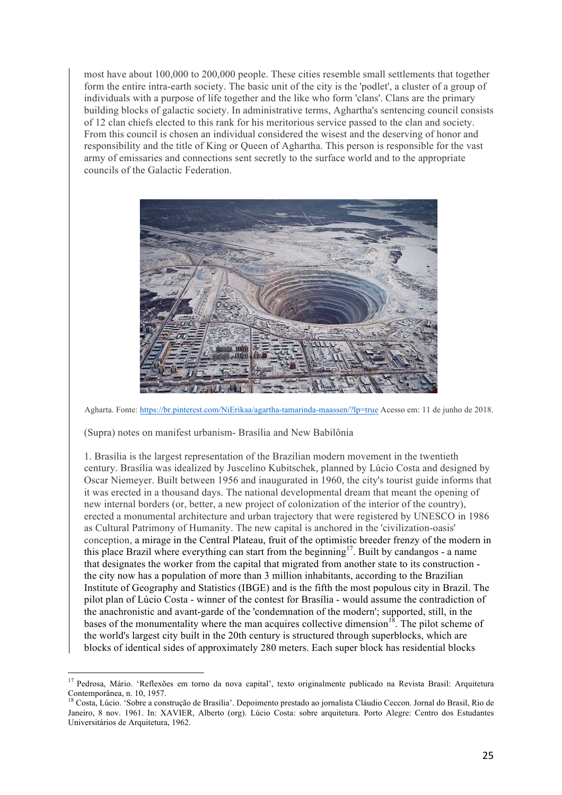most have about 100,000 to 200,000 people. These cities resemble small settlements that together form the entire intra-earth society. The basic unit of the city is the 'podlet', a cluster of a group of individuals with a purpose of life together and the like who form 'clans'. Clans are the primary building blocks of galactic society. In administrative terms, Aghartha's sentencing council consists of 12 clan chiefs elected to this rank for his meritorious service passed to the clan and society. From this council is chosen an individual considered the wisest and the deserving of honor and responsibility and the title of King or Queen of Aghartha. This person is responsible for the vast army of emissaries and connections sent secretly to the surface world and to the appropriate councils of the Galactic Federation.



Agharta. Fonte: https://br.pinterest.com/NiErikaa/agartha-tamarinda-maassen/?lp=true Acesso em: 11 de junho de 2018.

(Supra) notes on manifest urbanism- Brasília and New Babilônia

1. Brasília is the largest representation of the Brazilian modern movement in the twentieth century. Brasília was idealized by Juscelino Kubitschek, planned by Lúcio Costa and designed by Oscar Niemeyer. Built between 1956 and inaugurated in 1960, the city's tourist guide informs that it was erected in a thousand days. The national developmental dream that meant the opening of new internal borders (or, better, a new project of colonization of the interior of the country), erected a monumental architecture and urban trajectory that were registered by UNESCO in 1986 as Cultural Patrimony of Humanity. The new capital is anchored in the 'civilization-oasis' conception, a mirage in the Central Plateau, fruit of the optimistic breeder frenzy of the modern in this place Brazil where everything can start from the beginning<sup>17</sup>. Built by candangos - a name that designates the worker from the capital that migrated from another state to its construction the city now has a population of more than 3 million inhabitants, according to the Brazilian Institute of Geography and Statistics (IBGE) and is the fifth the most populous city in Brazil. The pilot plan of Lúcio Costa - winner of the contest for Brasília - would assume the contradiction of the anachronistic and avant-garde of the 'condemnation of the modern'; supported, still, in the bases of the monumentality where the man acquires collective dimension<sup>18</sup>. The pilot scheme of the world's largest city built in the 20th century is structured through superblocks, which are blocks of identical sides of approximately 280 meters. Each super block has residential blocks

<sup>&</sup>lt;sup>17</sup> Pedrosa, Mário. 'Reflexões em torno da nova capital', texto originalmente publicado na Revista Brasil: Arquitetura Contemporânea, n. 10, 1957.<br><sup>18</sup> Costa, Lúcio. 'Sobre a construção de Brasília'. Depoimento prestado ao jornalista Cláudio Ceccon. Jornal do Brasil, Rio de

Janeiro, 8 nov. 1961. In: XAVIER, Alberto (org). Lúcio Costa: sobre arquitetura. Porto Alegre: Centro dos Estudantes Universitários de Arquitetura, 1962.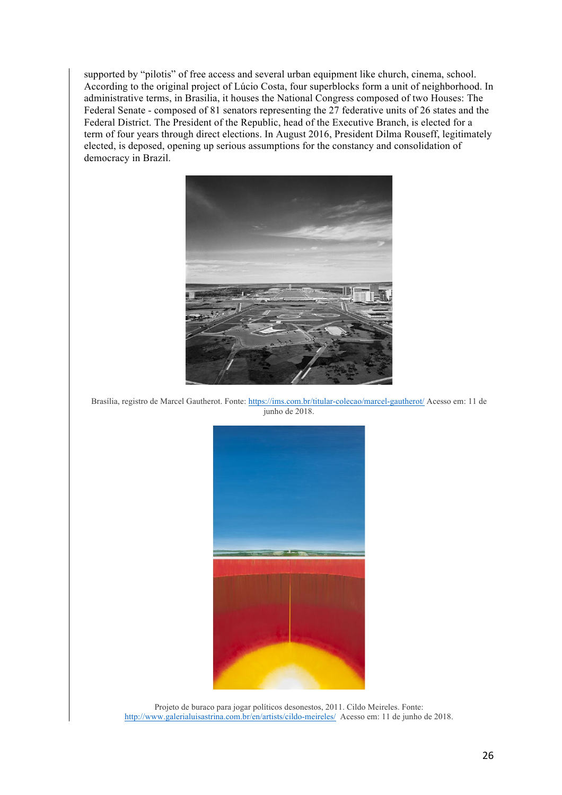supported by "pilotis" of free access and several urban equipment like church, cinema, school. According to the original project of Lúcio Costa, four superblocks form a unit of neighborhood. In administrative terms, in Brasilia, it houses the National Congress composed of two Houses: The Federal Senate - composed of 81 senators representing the 27 federative units of 26 states and the Federal District. The President of the Republic, head of the Executive Branch, is elected for a term of four years through direct elections. In August 2016, President Dilma Rouseff, legitimately elected, is deposed, opening up serious assumptions for the constancy and consolidation of democracy in Brazil.



Brasília, registro de Marcel Gautherot. Fonte: https://ims.com.br/titular-colecao/marcel-gautherot/ Acesso em: 11 de junho de 2018.



Projeto de buraco para jogar políticos desonestos, 2011. Cildo Meireles. Fonte: http://www.galerialuisastrina.com.br/en/artists/cildo-meireles/ Acesso em: 11 de junho de 2018.